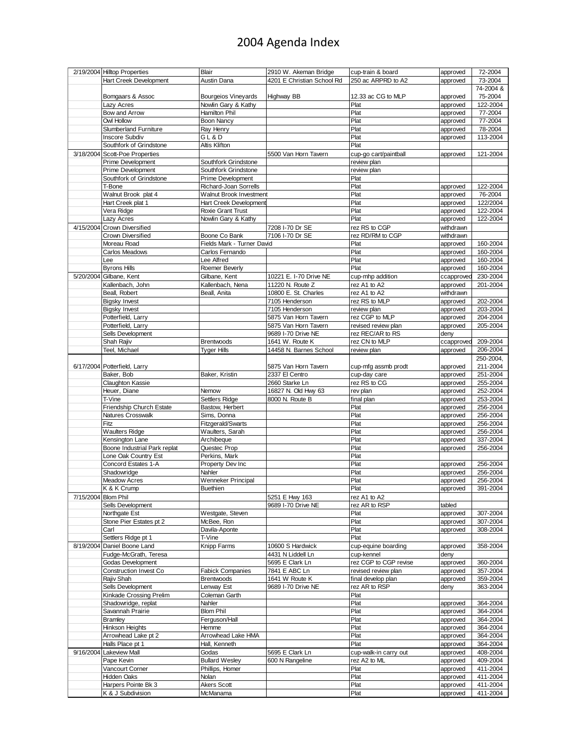## 2004 Agenda Index

|                     | 2/19/2004 Hilltop Properties             | Blair                          | 2910 W. Akeman Bridge      | cup-train & board     | approved             | 72-2004              |
|---------------------|------------------------------------------|--------------------------------|----------------------------|-----------------------|----------------------|----------------------|
|                     | Hart Creek Development                   | Austin Dana                    | 4201 E Christian School Rd | 250 ac ARPRD to A2    | approved             | 73-2004              |
|                     |                                          |                                |                            |                       |                      | 74-2004 &            |
|                     | Bomgaars & Assoc                         | <b>Bourgeios Vineyards</b>     | Highway BB                 | 12.33 ac CG to MLP    | approved             | 75-2004              |
|                     | Lazy Acres                               | Nowlin Gary & Kathy            |                            | Plat                  | approved             | 122-2004             |
|                     | Bow and Arrow                            | Hamilton Phil                  |                            | Plat                  | approved             | 77-2004              |
|                     | Owl Hollow                               | <b>Boon Nancy</b>              |                            | Plat                  |                      | 77-2004              |
|                     | <b>Slumberland Furniture</b>             |                                |                            |                       | approved             |                      |
|                     |                                          | Ray Henry                      |                            | Plat                  | approved             | 78-2004              |
|                     | <b>Inscore Subdiv</b>                    | GL&D                           |                            | Plat                  | approved             | 113-2004             |
|                     | Southfork of Grindstone                  | Altis Klifton                  |                            | Plat                  |                      |                      |
| 3/18/2004           | Scott-Poe Properties                     |                                | 5500 Van Horn Tavern       | cup-go cart/paintball | approved             | 121-2004             |
|                     | Prime Development                        | Southfork Grindstone           |                            | review plan           |                      |                      |
|                     | Prime Development                        | Southfork Grindstone           |                            | review plan           |                      |                      |
|                     | Southfork of Grindstone                  | Prime Development              |                            | Plat                  |                      |                      |
|                     | T-Bone                                   | Richard-Joan Sorrells          |                            | Plat                  | approved             | 122-2004             |
|                     | Walnut Brook plat 4                      | Walnut Brook Investment        |                            | Plat                  | approved             | 76-2004              |
|                     | Hart Creek plat 1                        | Hart Creek Development         |                            | Plat                  | approved             | 122/2004             |
|                     | Vera Ridge                               | Roxie Grant Trust              |                            | Plat                  | approved             | 122-2004             |
|                     | Lazy Acres                               | Nowlin Gary & Kathy            |                            | Plat                  | approved             | 122-2004             |
|                     | 4/15/2004 Crown Diversified              |                                | 7208 I-70 Dr SE            | rez RS to CGP         | withdrawn            |                      |
|                     |                                          |                                |                            |                       |                      |                      |
|                     | Crown Diversified                        | Boone Co Bank                  | 7106 I-70 Dr SE            | rez RD/RM to CGP      | withdrawn            |                      |
|                     | Moreau Road                              | Fields Mark - Turner David     |                            | Plat                  | approved             | 160-2004             |
|                     | Carlos Meadows                           | Carlos Fernando                |                            | Plat                  | approved             | 160-2004             |
|                     | Lee                                      | Lee Alfred                     |                            | Plat                  | approved             | 160-2004             |
|                     | <b>Byrons Hills</b>                      | Roemer Beverly                 |                            | Plat                  | approved             | 160-2004             |
| 5/20/2004           | Gilbane, Kent                            | Gilbane, Kent                  | 10221 E. I-70 Drive NE     | cup-mhp addition      | ccapprove            | 230-2004             |
|                     | Kallenbach, John                         | Kallenbach, Nena               | 11220 N. Route Z           | rez A1 to A2          | approved             | 201-2004             |
|                     | Beall, Robert                            | Beall, Anita                   | 10800 E. St. Charles       | rez A1 to A2          | withdrawn            |                      |
|                     | <b>Bigsky Invest</b>                     |                                | 7105 Henderson             | rez RS to MLP         | approved             | 202-2004             |
|                     | <b>Bigsky Invest</b>                     |                                | 7105 Henderson             | review plan           | approved             | 203-2004             |
|                     | Potterfield, Larry                       |                                | 5875 Van Horn Tavern       | rez CGP to MLP        | approved             | 204-2004             |
|                     | Potterfield, Larry                       |                                | 5875 Van Horn Tavern       | revised review plan   | approved             | 205-2004             |
|                     | Sells Development                        |                                | 9689 I-70 Drive NE         | rez REC/AR to RS      | deny                 |                      |
|                     | Shah Rajiv                               |                                | 1641 W. Route K            | rez CN to MLP         |                      | 209-2004             |
|                     |                                          | Brentwoods                     |                            |                       | ccapprove            | 206-2004             |
|                     | Teel, Michael                            | <b>Tyger Hills</b>             | 14458 N. Barnes School     | review plan           | approved             |                      |
|                     |                                          |                                |                            |                       |                      | 250-2004,            |
|                     | 6/17/2004 Potterfield, Larry             |                                | 5875 Van Horn Tavern       | cup-mfg assmb prodt   | approved             | 211-2004             |
|                     | Baker, Bob                               | Baker, Kristin                 | 2337 El Centro             | cup-day care          | approved             | 251-2004             |
|                     | Claughton Kassie                         |                                | 2660 Starke Ln             | rez RS to CG          | approved             | 255-2004             |
|                     | Heuer, Diane                             | Nemow                          | 16827 N. Old Hwy 63        | rev plan              | approved             | 252-2004             |
|                     | T-Vine                                   | Settlers Ridge                 | 8000 N. Route B            | final plan            | approved             | 253-2004             |
|                     | Friendship Church Estate                 | Bastow, Herbert                |                            | Plat                  | approved             | 256-2004             |
|                     | Natures Crosswalk                        | Sims, Donna                    |                            | Plat                  | approved             | 256-2004             |
|                     | Fitz                                     | Fitzgerald/Swarts              |                            | Plat                  | approved             | 256-2004             |
|                     | <b>Waulters Ridge</b>                    | Waulters, Sarah                |                            | Plat                  | approved             | 256-2004             |
|                     | Kensington Lane                          | Archibeque                     |                            | Plat                  | approved             | 337-2004             |
|                     | Boone Industrial Park replat             | Questec Prop                   |                            | Plat                  | approved             | 256-2004             |
|                     | Lone Oak Country Est                     | Perkins, Mark                  |                            | Plat                  |                      |                      |
|                     | Concord Estates 1-A                      | Property Dev Inc               |                            | Plat                  |                      |                      |
|                     |                                          |                                |                            |                       | approved             | 256-2004             |
|                     | Shadowridge                              | Nahler                         |                            | Plat                  | approved             | 256-2004             |
|                     | Meadow Acres                             | <b>Wenneker Principal</b>      |                            | Plat                  | approved             | 256-2004             |
|                     | K & K Crump                              | <b>Buethien</b>                |                            | Plat                  | approved             | 391-2004             |
| 7/15/2004 Blom Phil |                                          |                                | 5251 E Hwy 163             | rez A1 to A2          |                      |                      |
|                     | Sells Development                        |                                | 9689 I-70 Drive NE         | rez AR to RSP         | tabled               |                      |
|                     | Northgate Est                            | Westgate, Steven               |                            | Plat                  | approved             | 307-2004             |
|                     | Stone Pier Estates pt 2                  | McBee, Ron                     |                            | Plat                  | approved             | 307-2004             |
|                     | Carl                                     | Davila-Aponte                  |                            | Plat                  | approved             | 308-2004             |
|                     | Settlers Ridge pt 1                      | T-Vine                         |                            | Plat                  |                      |                      |
| 8/19/2004           | Daniel Boone Land                        | Knipp Farms                    | 10600 S Hardwick           | cup-equine boarding   | approved             | 358-2004             |
|                     | Fudge-McGrath, Teresa                    |                                | 4431 N Liddell Ln          | cup-kennel            | deny                 |                      |
|                     | <b>Godas Development</b>                 |                                | 5695 E Clark Ln            | rez CGP to CGP revise | approved             | 360-2004             |
|                     | Construction Invest Co                   | <b>Fabick Companies</b>        | 7841 E ABC Ln              | revised review plan   | approved             | 357-2004             |
|                     | Rajiv Shah                               | <b>Brentwoods</b>              | 1641 W Route K             | final develop plan    | approved             | 359-2004             |
|                     | Sells Development                        | Lenway Est                     | 9689 I-70 Drive NE         | rez AR to RSP         | deny                 | 363-2004             |
|                     |                                          |                                |                            |                       |                      |                      |
|                     | Kinkade Crossing Prelim                  | Coleman Garth                  |                            | Plat                  |                      |                      |
|                     | Shadowridge, replat                      | Nahler                         |                            | Plat                  | approved             | 364-2004             |
|                     | Savannah Prairie                         | <b>Blom Phil</b>               |                            | Plat                  | approved             | 364-2004             |
|                     | <b>Bramley</b>                           | Ferguson/Hall                  |                            | Plat                  | approved             | 364-2004             |
|                     | Hinkson Heights                          | Hemme                          |                            | Plat                  | approved             | 364-2004             |
|                     | Arrowhead Lake pt 2                      | Arrowhead Lake HMA             |                            | Plat                  | approved             | 364-2004             |
|                     | Halls Place pt 1                         | Hall, Kenneth                  |                            | Plat                  | approved             | 364-2004             |
| 9/16/2004           | Lakeview Mall                            | Godas                          | 5695 E Clark Ln            | cup-walk-in carry out | approved             | 408-2004             |
|                     | Pape Kevin                               | <b>Bullard Wesley</b>          | 600 N Rangeline            | rez A2 to ML          | approved             | 409-2004             |
|                     | Vancourt Corner                          | Phillips, Homer                |                            | Plat                  | approved             | 411-2004             |
|                     |                                          |                                |                            | Plat                  | approved             | 411-2004             |
|                     |                                          |                                |                            |                       |                      |                      |
|                     | Hidden Oaks                              | Nolan                          |                            |                       |                      |                      |
|                     | Harpers Pointe Bk 3<br>K & J Subdivision | <b>Akers Scott</b><br>McManama |                            | Plat<br>Plat          | approved<br>approved | 411-2004<br>411-2004 |